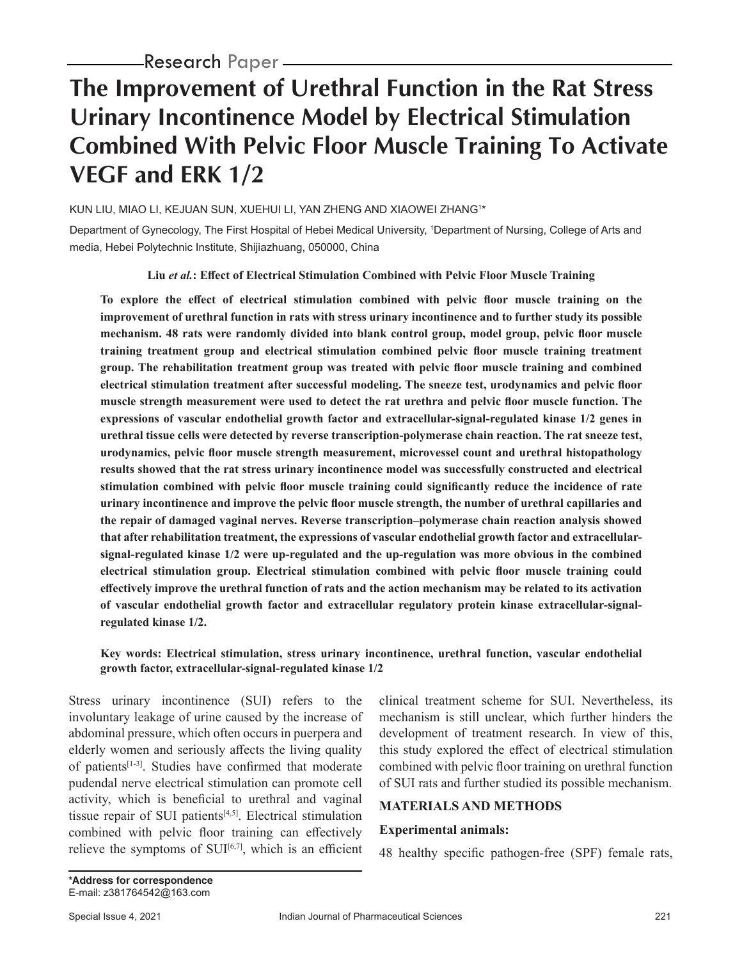# **The Improvement of Urethral Function in the Rat Stress Urinary Incontinence Model by Electrical Stimulation Combined With Pelvic Floor Muscle Training To Activate VEGF and ERK 1/2**

KUN LIU, MIAO LI, KEJUAN SUN, XUEHUI LI, YAN ZHENG AND XIAOWEI ZHANG1 \*

Department of Gynecology, The First Hospital of Hebei Medical University, 1 Department of Nursing, College of Arts and media, Hebei Polytechnic Institute, Shijiazhuang, 050000, China

#### **Liu** *et al.***: Effect of Electrical Stimulation Combined with Pelvic Floor Muscle Training**

**To explore the effect of electrical stimulation combined with pelvic floor muscle training on the improvement of urethral function in rats with stress urinary incontinence and to further study its possible mechanism. 48 rats were randomly divided into blank control group, model group, pelvic floor muscle training treatment group and electrical stimulation combined pelvic floor muscle training treatment group. The rehabilitation treatment group was treated with pelvic floor muscle training and combined electrical stimulation treatment after successful modeling. The sneeze test, urodynamics and pelvic floor muscle strength measurement were used to detect the rat urethra and pelvic floor muscle function. The expressions of vascular endothelial growth factor and extracellular-signal-regulated kinase 1/2 genes in urethral tissue cells were detected by reverse transcription-polymerase chain reaction. The rat sneeze test, urodynamics, pelvic floor muscle strength measurement, microvessel count and urethral histopathology results showed that the rat stress urinary incontinence model was successfully constructed and electrical stimulation combined with pelvic floor muscle training could significantly reduce the incidence of rate urinary incontinence and improve the pelvic floor muscle strength, the number of urethral capillaries and the repair of damaged vaginal nerves. Reverse transcription–polymerase chain reaction analysis showed that after rehabilitation treatment, the expressions of vascular endothelial growth factor and extracellularsignal-regulated kinase 1/2 were up-regulated and the up-regulation was more obvious in the combined electrical stimulation group. Electrical stimulation combined with pelvic floor muscle training could effectively improve the urethral function of rats and the action mechanism may be related to its activation of vascular endothelial growth factor and extracellular regulatory protein kinase extracellular-signalregulated kinase 1/2.**

#### **Key words: Electrical stimulation, stress urinary incontinence, urethral function, vascular endothelial growth factor, extracellular-signal-regulated kinase 1/2**

Stress urinary incontinence (SUI) refers to the involuntary leakage of urine caused by the increase of abdominal pressure, which often occurs in puerpera and elderly women and seriously affects the living quality of patients[1-3]. Studies have confirmed that moderate pudendal nerve electrical stimulation can promote cell activity, which is beneficial to urethral and vaginal tissue repair of SUI patients $[4,5]$ . Electrical stimulation combined with pelvic floor training can effectively relieve the symptoms of  $SUI<sup>[6,7]</sup>$ , which is an efficient

clinical treatment scheme for SUI. Nevertheless, its mechanism is still unclear, which further hinders the development of treatment research. In view of this, this study explored the effect of electrical stimulation combined with pelvic floor training on urethral function of SUI rats and further studied its possible mechanism.

### **MATERIALS AND METHODS**

### **Experimental animals:**

48 healthy specific pathogen-free (SPF) female rats,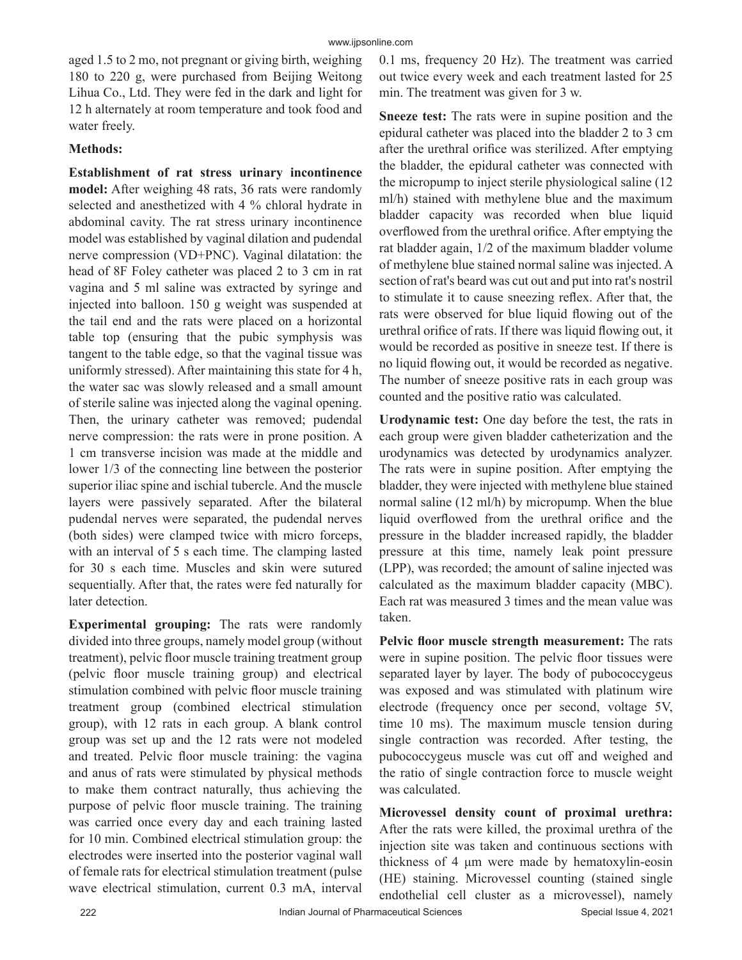aged 1.5 to 2 mo, not pregnant or giving birth, weighing 180 to 220 g, were purchased from Beijing Weitong Lihua Co., Ltd. They were fed in the dark and light for 12 h alternately at room temperature and took food and water freely.

## **Methods:**

**Establishment of rat stress urinary incontinence model:** After weighing 48 rats, 36 rats were randomly selected and anesthetized with 4 % chloral hydrate in abdominal cavity. The rat stress urinary incontinence model was established by vaginal dilation and pudendal nerve compression (VD+PNC). Vaginal dilatation: the head of 8F Foley catheter was placed 2 to 3 cm in rat vagina and 5 ml saline was extracted by syringe and injected into balloon. 150 g weight was suspended at the tail end and the rats were placed on a horizontal table top (ensuring that the pubic symphysis was tangent to the table edge, so that the vaginal tissue was uniformly stressed). After maintaining this state for 4 h, the water sac was slowly released and a small amount of sterile saline was injected along the vaginal opening. Then, the urinary catheter was removed; pudendal nerve compression: the rats were in prone position. A 1 cm transverse incision was made at the middle and lower 1/3 of the connecting line between the posterior superior iliac spine and ischial tubercle. And the muscle layers were passively separated. After the bilateral pudendal nerves were separated, the pudendal nerves (both sides) were clamped twice with micro forceps, with an interval of 5 s each time. The clamping lasted for 30 s each time. Muscles and skin were sutured sequentially. After that, the rates were fed naturally for later detection.

**Experimental grouping:** The rats were randomly divided into three groups, namely model group (without treatment), pelvic floor muscle training treatment group (pelvic floor muscle training group) and electrical stimulation combined with pelvic floor muscle training treatment group (combined electrical stimulation group), with 12 rats in each group. A blank control group was set up and the 12 rats were not modeled and treated. Pelvic floor muscle training: the vagina and anus of rats were stimulated by physical methods to make them contract naturally, thus achieving the purpose of pelvic floor muscle training. The training was carried once every day and each training lasted for 10 min. Combined electrical stimulation group: the electrodes were inserted into the posterior vaginal wall of female rats for electrical stimulation treatment (pulse wave electrical stimulation, current 0.3 mA, interval 0.1 ms, frequency 20 Hz). The treatment was carried out twice every week and each treatment lasted for 25 min. The treatment was given for 3 w.

**Sneeze test:** The rats were in supine position and the epidural catheter was placed into the bladder 2 to 3 cm after the urethral orifice was sterilized. After emptying the bladder, the epidural catheter was connected with the micropump to inject sterile physiological saline (12 ml/h) stained with methylene blue and the maximum bladder capacity was recorded when blue liquid overflowed from the urethral orifice. After emptying the rat bladder again, 1/2 of the maximum bladder volume of methylene blue stained normal saline was injected. A section of rat's beard was cut out and put into rat's nostril to stimulate it to cause sneezing reflex. After that, the rats were observed for blue liquid flowing out of the urethral orifice of rats. If there was liquid flowing out, it would be recorded as positive in sneeze test. If there is no liquid flowing out, it would be recorded as negative. The number of sneeze positive rats in each group was counted and the positive ratio was calculated.

**Urodynamic test:** One day before the test, the rats in each group were given bladder catheterization and the urodynamics was detected by urodynamics analyzer. The rats were in supine position. After emptying the bladder, they were injected with methylene blue stained normal saline (12 ml/h) by micropump. When the blue liquid overflowed from the urethral orifice and the pressure in the bladder increased rapidly, the bladder pressure at this time, namely leak point pressure (LPP), was recorded; the amount of saline injected was calculated as the maximum bladder capacity (MBC). Each rat was measured 3 times and the mean value was taken.

**Pelvic floor muscle strength measurement:** The rats were in supine position. The pelvic floor tissues were separated layer by layer. The body of pubococcygeus was exposed and was stimulated with platinum wire electrode (frequency once per second, voltage 5V, time 10 ms). The maximum muscle tension during single contraction was recorded. After testing, the pubococcygeus muscle was cut off and weighed and the ratio of single contraction force to muscle weight was calculated.

**Microvessel density count of proximal urethra:** After the rats were killed, the proximal urethra of the injection site was taken and continuous sections with thickness of 4 μm were made by hematoxylin-eosin (HE) staining. Microvessel counting (stained single endothelial cell cluster as a microvessel), namely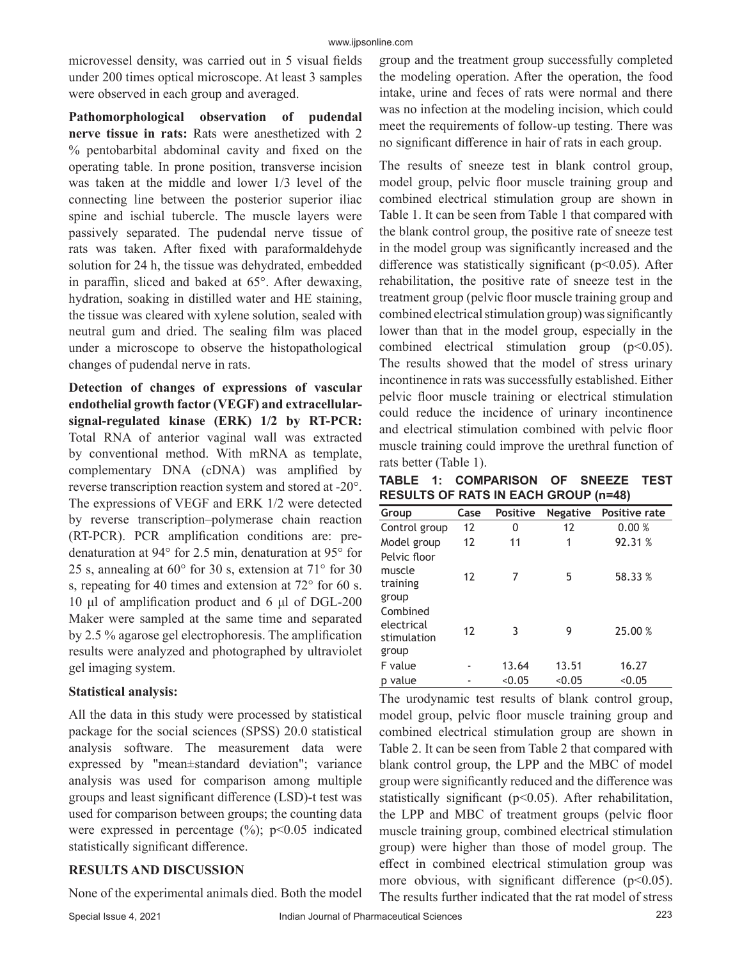microvessel density, was carried out in 5 visual fields under 200 times optical microscope. At least 3 samples were observed in each group and averaged.

**Pathomorphological observation of pudendal nerve tissue in rats:** Rats were anesthetized with 2 % pentobarbital abdominal cavity and fixed on the operating table. In prone position, transverse incision was taken at the middle and lower 1/3 level of the connecting line between the posterior superior iliac spine and ischial tubercle. The muscle layers were passively separated. The pudendal nerve tissue of rats was taken. After fixed with paraformaldehyde solution for 24 h, the tissue was dehydrated, embedded in paraffin, sliced and baked at 65°. After dewaxing, hydration, soaking in distilled water and HE staining, the tissue was cleared with xylene solution, sealed with neutral gum and dried. The sealing film was placed under a microscope to observe the histopathological changes of pudendal nerve in rats.

**Detection of changes of expressions of vascular endothelial growth factor (VEGF) and extracellularsignal-regulated kinase (ERK) 1/2 by RT-PCR:**  Total RNA of anterior vaginal wall was extracted by conventional method. With mRNA as template, complementary DNA (cDNA) was amplified by reverse transcription reaction system and stored at -20°. The expressions of VEGF and ERK 1/2 were detected by reverse transcription–polymerase chain reaction (RT-PCR). PCR amplification conditions are: predenaturation at 94° for 2.5 min, denaturation at 95° for 25 s, annealing at  $60^{\circ}$  for 30 s, extension at  $71^{\circ}$  for 30 s, repeating for 40 times and extension at 72° for 60 s. 10 μl of amplification product and 6 μl of DGL-200 Maker were sampled at the same time and separated by 2.5 % agarose gel electrophoresis. The amplification results were analyzed and photographed by ultraviolet gel imaging system.

# **Statistical analysis:**

All the data in this study were processed by statistical package for the social sciences (SPSS) 20.0 statistical analysis software. The measurement data were expressed by "mean±standard deviation"; variance analysis was used for comparison among multiple groups and least significant difference (LSD)-t test was used for comparison between groups; the counting data were expressed in percentage  $(\%)$ ; p<0.05 indicated statistically significant difference.

# **RESULTS AND DISCUSSION**

None of the experimental animals died. Both the model

group and the treatment group successfully completed the modeling operation. After the operation, the food intake, urine and feces of rats were normal and there was no infection at the modeling incision, which could meet the requirements of follow-up testing. There was no significant difference in hair of rats in each group.

The results of sneeze test in blank control group, model group, pelvic floor muscle training group and combined electrical stimulation group are shown in Table 1. It can be seen from Table 1 that compared with the blank control group, the positive rate of sneeze test in the model group was significantly increased and the difference was statistically significant ( $p<0.05$ ). After rehabilitation, the positive rate of sneeze test in the treatment group (pelvic floor muscle training group and combined electrical stimulation group) was significantly lower than that in the model group, especially in the combined electrical stimulation group  $(p<0.05)$ . The results showed that the model of stress urinary incontinence in rats was successfully established. Either pelvic floor muscle training or electrical stimulation could reduce the incidence of urinary incontinence and electrical stimulation combined with pelvic floor muscle training could improve the urethral function of rats better (Table 1).

**TABLE 1: COMPARISON OF SNEEZE TEST RESULTS OF RATS IN EACH GROUP (n=48)**

| Group                                          | Case | <b>Positive</b> | <b>Negative</b> | <b>Positive rate</b> |
|------------------------------------------------|------|-----------------|-----------------|----------------------|
| Control group                                  | 12   | 0               | 12              | 0.00%                |
| Model group                                    | 12   | 11              | 1               | 92.31 %              |
| Pelvic floor<br>muscle<br>training<br>group    | 12   | 7               | 5               | 58.33 %              |
| Combined<br>electrical<br>stimulation<br>group | 12   | 3               | 9               | 25.00 %              |
| F value                                        |      | 13.64           | 13.51           | 16.27                |
| p value                                        |      | < 0.05          | < 0.05          | < 0.05               |

The urodynamic test results of blank control group, model group, pelvic floor muscle training group and combined electrical stimulation group are shown in Table 2. It can be seen from Table 2 that compared with blank control group, the LPP and the MBC of model group were significantly reduced and the difference was statistically significant (p<0.05). After rehabilitation, the LPP and MBC of treatment groups (pelvic floor muscle training group, combined electrical stimulation group) were higher than those of model group. The effect in combined electrical stimulation group was more obvious, with significant difference (p<0.05). The results further indicated that the rat model of stress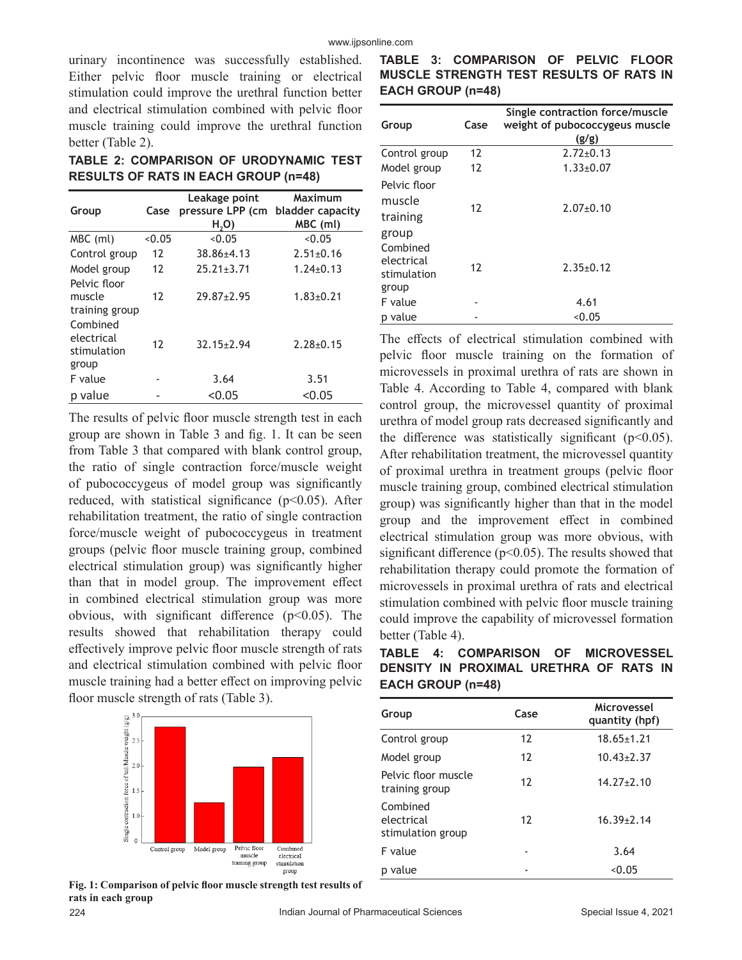urinary incontinence was successfully established. Either pelvic floor muscle training or electrical stimulation could improve the urethral function better and electrical stimulation combined with pelvic floor muscle training could improve the urethral function better (Table 2).

**TABLE 2: COMPARISON OF URODYNAMIC TEST RESULTS OF RATS IN EACH GROUP (n=48)**

| Group                                          | Case   | Leakage point<br>pressure LPP (cm<br>H <sub>2</sub> O | Maximum<br>bladder capacity<br>MBC (ml) |
|------------------------------------------------|--------|-------------------------------------------------------|-----------------------------------------|
| MBC (ml)                                       | < 0.05 | < 0.05                                                | < 0.05                                  |
| Control group                                  | 12     | $38.86 \pm 4.13$                                      | $2.51 \pm 0.16$                         |
| Model group                                    | 12     | $25.21 \pm 3.71$                                      | $1.24 + 0.13$                           |
| Pelvic floor<br>muscle<br>training group       | 12     | $29.87 \pm 2.95$                                      | $1.83 + 0.21$                           |
| Combined<br>electrical<br>stimulation<br>group | 12     | $32.15 \pm 2.94$                                      | $2.28 + 0.15$                           |
| F value                                        |        | 3.64                                                  | 3.51                                    |
| value<br>р                                     |        | $<$ 0.05                                              | < 0.05                                  |

The results of pelvic floor muscle strength test in each group are shown in Table 3 and fig. 1. It can be seen from Table 3 that compared with blank control group, the ratio of single contraction force/muscle weight of pubococcygeus of model group was significantly reduced, with statistical significance (p<0.05). After rehabilitation treatment, the ratio of single contraction force/muscle weight of pubococcygeus in treatment groups (pelvic floor muscle training group, combined electrical stimulation group) was significantly higher than that in model group. The improvement effect in combined electrical stimulation group was more obvious, with significant difference  $(p<0.05)$ . The results showed that rehabilitation therapy could effectively improve pelvic floor muscle strength of rats and electrical stimulation combined with pelvic floor muscle training had a better effect on improving pelvic floor muscle strength of rats (Table 3).



**Fig. 1: Comparison of pelvic floor muscle strength test results of rats in each group** 

|                   | TABLE 3: COMPARISON OF PELVIC FLOOR     |  |  |
|-------------------|-----------------------------------------|--|--|
|                   | MUSCLE STRENGTH TEST RESULTS OF RATS IN |  |  |
| EACH GROUP (n=48) |                                         |  |  |

| Group                                          | Case | Single contraction force/muscle<br>weight of pubococcygeus muscle<br>(g/g) |
|------------------------------------------------|------|----------------------------------------------------------------------------|
| Control group                                  | 12   | $2.72 \pm 0.13$                                                            |
| Model group                                    | 12   | $1.33 \pm 0.07$                                                            |
| Pelvic floor<br>muscle<br>training<br>group    | 12   | $2.07+0.10$                                                                |
| Combined<br>electrical<br>stimulation<br>group | 12   | $2.35+0.12$                                                                |
| F value                                        |      | 4.61                                                                       |
| value<br>р                                     |      | < 0.05                                                                     |

The effects of electrical stimulation combined with pelvic floor muscle training on the formation of microvessels in proximal urethra of rats are shown in Table 4. According to Table 4, compared with blank control group, the microvessel quantity of proximal urethra of model group rats decreased significantly and the difference was statistically significant  $(p<0.05)$ . After rehabilitation treatment, the microvessel quantity of proximal urethra in treatment groups (pelvic floor muscle training group, combined electrical stimulation group) was significantly higher than that in the model group and the improvement effect in combined electrical stimulation group was more obvious, with significant difference ( $p$ <0.05). The results showed that rehabilitation therapy could promote the formation of microvessels in proximal urethra of rats and electrical stimulation combined with pelvic floor muscle training could improve the capability of microvessel formation better (Table 4).

**TABLE 4: COMPARISON OF MICROVESSEL DENSITY IN PROXIMAL URETHRA OF RATS IN EACH GROUP (n=48)**

| Group                                       | Case | Microvessel<br>quantity (hpf) |
|---------------------------------------------|------|-------------------------------|
| Control group                               | 12   | $18.65 \pm 1.21$              |
| Model group                                 | 12   | $10.43 \pm 2.37$              |
| Pelvic floor muscle<br>training group       | 12   | $14.27 \pm 2.10$              |
| Combined<br>electrical<br>stimulation group | 12   | $16.39 \pm 2.14$              |
| F value                                     |      | 3.64                          |
| p value                                     |      | < 0.05                        |
|                                             |      |                               |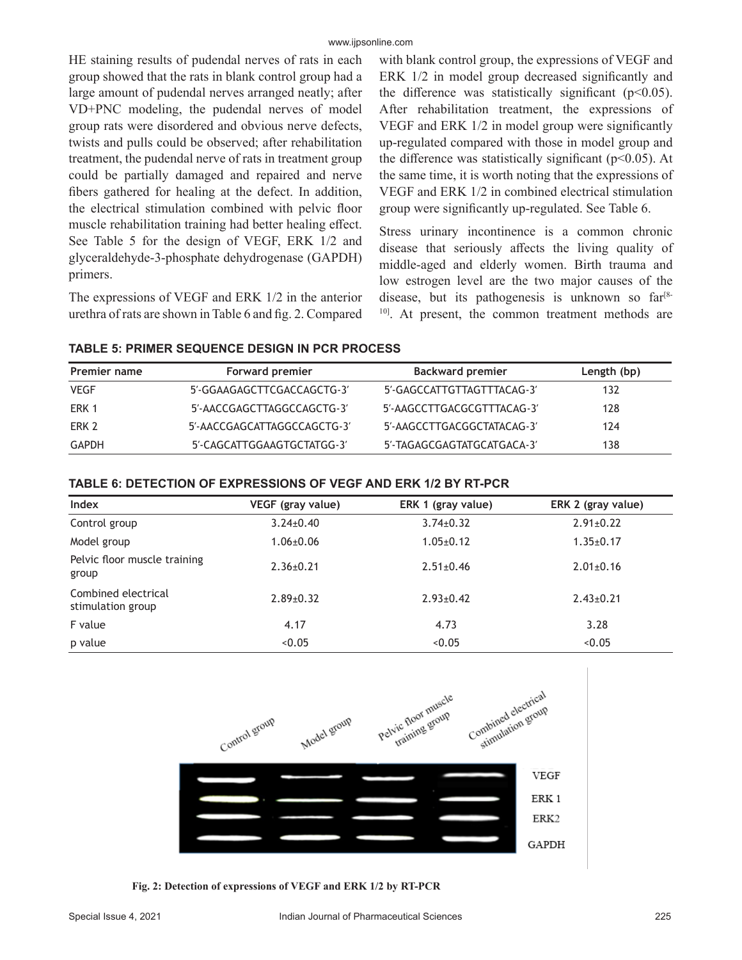HE staining results of pudendal nerves of rats in each group showed that the rats in blank control group had a large amount of pudendal nerves arranged neatly; after VD+PNC modeling, the pudendal nerves of model group rats were disordered and obvious nerve defects, twists and pulls could be observed; after rehabilitation treatment, the pudendal nerve of rats in treatment group could be partially damaged and repaired and nerve fibers gathered for healing at the defect. In addition, the electrical stimulation combined with pelvic floor muscle rehabilitation training had better healing effect. See Table 5 for the design of VEGF, ERK 1/2 and glyceraldehyde-3-phosphate dehydrogenase (GAPDH) primers.

The expressions of VEGF and ERK 1/2 in the anterior urethra of rats are shown in Table 6 and fig. 2. Compared with blank control group, the expressions of VEGF and ERK 1/2 in model group decreased significantly and the difference was statistically significant ( $p$ <0.05). After rehabilitation treatment, the expressions of VEGF and ERK 1/2 in model group were significantly up-regulated compared with those in model group and the difference was statistically significant ( $p$ <0.05). At the same time, it is worth noting that the expressions of VEGF and ERK 1/2 in combined electrical stimulation group were significantly up-regulated. See Table 6.

Stress urinary incontinence is a common chronic disease that seriously affects the living quality of middle-aged and elderly women. Birth trauma and low estrogen level are the two major causes of the disease, but its pathogenesis is unknown so  $far^{8}$ <sup>10]</sup>. At present, the common treatment methods are

| <b>TABLE 5: PRIMER SEQUENCE DESIGN IN PCR PROCESS</b> |  |
|-------------------------------------------------------|--|
|-------------------------------------------------------|--|

| <b>Premier name</b> | Forward premier             | <b>Backward premier</b>    | Length (bp) |
|---------------------|-----------------------------|----------------------------|-------------|
| <b>VEGF</b>         | 5'-GGAAGAGCTTCGACCAGCTG-3'  | 5'-GAGCCATTGTTAGTTTACAG-3' | 132         |
| ERK 1               | 5'-AACCGAGCTTAGGCCAGCTG-3'  | 5'-AAGCCTTGACGCGTTTACAG-3' | 128         |
| ERK 2               | 5'-AACCGAGCATTAGGCCAGCTG-3' | 5'-AAGCCTTGACGGCTATACAG-3' | 124         |
| GAPDH               | 5'-CAGCATTGGAAGTGCTATGG-3'  | 5'-TAGAGCGAGTATGCATGACA-3' | 138         |

| TABLE 6: DETECTION OF EXPRESSIONS OF VEGF AND ERK 1/2 BY RT-PCR |  |  |
|-----------------------------------------------------------------|--|--|
|                                                                 |  |  |

| Index                                    | VEGF (gray value) | ERK 1 (gray value) | ERK 2 (gray value) |
|------------------------------------------|-------------------|--------------------|--------------------|
| Control group                            | $3.24 \pm 0.40$   | $3.74 \pm 0.32$    | $2.91 \pm 0.22$    |
| Model group                              | $1.06 \pm 0.06$   | $1.05 \pm 0.12$    | $1.35 \pm 0.17$    |
| Pelvic floor muscle training<br>group    | $2.36 \pm 0.21$   | $2.51 \pm 0.46$    | $2.01 \pm 0.16$    |
| Combined electrical<br>stimulation group | $2.89 \pm 0.32$   | $2.93 \pm 0.42$    | $2.43 \pm 0.21$    |
| F value                                  | 4.17              | 4.73               | 3.28               |
| p value                                  | < 0.05            | < 0.05             | < 0.05             |
|                                          |                   |                    |                    |



**Fig. 2: Detection of expressions of VEGF and ERK 1/2 by RT-PCR**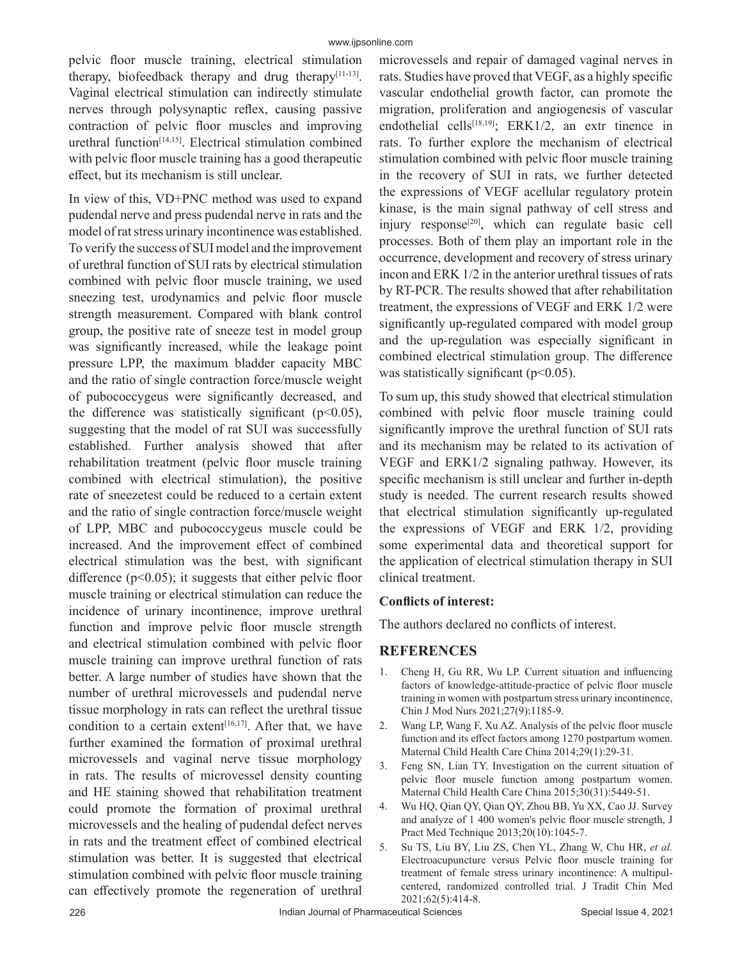pelvic floor muscle training, electrical stimulation therapy, biofeedback therapy and drug therapy $[11-13]$ . Vaginal electrical stimulation can indirectly stimulate nerves through polysynaptic reflex, causing passive contraction of pelvic floor muscles and improving urethral function[14,15]. Electrical stimulation combined with pelvic floor muscle training has a good therapeutic effect, but its mechanism is still unclear.

In view of this, VD+PNC method was used to expand pudendal nerve and press pudendal nerve in rats and the model of rat stress urinary incontinence was established. To verify the success of SUI model and the improvement of urethral function of SUI rats by electrical stimulation combined with pelvic floor muscle training, we used sneezing test, urodynamics and pelvic floor muscle strength measurement. Compared with blank control group, the positive rate of sneeze test in model group was significantly increased, while the leakage point pressure LPP, the maximum bladder capacity MBC and the ratio of single contraction force/muscle weight of pubococcygeus were significantly decreased, and the difference was statistically significant ( $p$ <0.05), suggesting that the model of rat SUI was successfully established. Further analysis showed that after rehabilitation treatment (pelvic floor muscle training combined with electrical stimulation), the positive rate of sneezetest could be reduced to a certain extent and the ratio of single contraction force/muscle weight of LPP, MBC and pubococcygeus muscle could be increased. And the improvement effect of combined electrical stimulation was the best, with significant difference ( $p<0.05$ ); it suggests that either pelvic floor muscle training or electrical stimulation can reduce the incidence of urinary incontinence, improve urethral function and improve pelvic floor muscle strength and electrical stimulation combined with pelvic floor muscle training can improve urethral function of rats better. A large number of studies have shown that the number of urethral microvessels and pudendal nerve tissue morphology in rats can reflect the urethral tissue condition to a certain extent<sup>[16,17]</sup>. After that, we have further examined the formation of proximal urethral microvessels and vaginal nerve tissue morphology in rats. The results of microvessel density counting and HE staining showed that rehabilitation treatment could promote the formation of proximal urethral microvessels and the healing of pudendal defect nerves in rats and the treatment effect of combined electrical stimulation was better. It is suggested that electrical stimulation combined with pelvic floor muscle training can effectively promote the regeneration of urethral microvessels and repair of damaged vaginal nerves in rats. Studies have proved that VEGF, as a highly specific vascular endothelial growth factor, can promote the migration, proliferation and angiogenesis of vascular endothelial cells<sup>[18,19]</sup>; ERK1/2, an extr tinence in rats. To further explore the mechanism of electrical stimulation combined with pelvic floor muscle training in the recovery of SUI in rats, we further detected the expressions of VEGF acellular regulatory protein kinase, is the main signal pathway of cell stress and injury response<sup>[20]</sup>, which can regulate basic cell processes. Both of them play an important role in the occurrence, development and recovery of stress urinary incon and ERK 1/2 in the anterior urethral tissues of rats by RT-PCR. The results showed that after rehabilitation treatment, the expressions of VEGF and ERK 1/2 were significantly up-regulated compared with model group and the up-regulation was especially significant in combined electrical stimulation group. The difference was statistically significant ( $p<0.05$ ).

To sum up, this study showed that electrical stimulation combined with pelvic floor muscle training could significantly improve the urethral function of SUI rats and its mechanism may be related to its activation of VEGF and ERK1/2 signaling pathway. However, its specific mechanism is still unclear and further in-depth study is needed. The current research results showed that electrical stimulation significantly up-regulated the expressions of VEGF and ERK 1/2, providing some experimental data and theoretical support for the application of electrical stimulation therapy in SUI clinical treatment.

#### **Conflicts of interest:**

The authors declared no conflicts of interest.

#### **REFERENCES**

- 1. Cheng H, Gu RR, Wu LP. Current situation and influencing factors of knowledge-attitude-practice of pelvic floor muscle training in women with postpartum stress urinary incontinence, Chin J Mod Nurs 2021;27(9):1185-9.
- 2. Wang LP, Wang F, Xu AZ. Analysis of the pelvic floor muscle function and its effect factors among 1270 postpartum women. Maternal Child Health Care China 2014;29(1):29-31.
- 3. Feng SN, Lian TY. Investigation on the current situation of pelvic floor muscle function among postpartum women. Maternal Child Health Care China 2015;30(31):5449-51.
- 4. Wu HQ, Qian QY, Qian QY, Zhou BB, Yu XX, Cao JJ. Survey and analyze of 1 400 women's pelvic floor muscle strength, J Pract Med Technique 2013;20(10):1045-7.
- 5. Su TS, Liu BY, Liu ZS, Chen YL, Zhang W, Chu HR, *et al.* Electroacupuncture versus Pelvic floor muscle training for treatment of female stress urinary incontinence: A multipulcentered, randomized controlled trial. J Tradit Chin Med 2021;62(5):414-8.